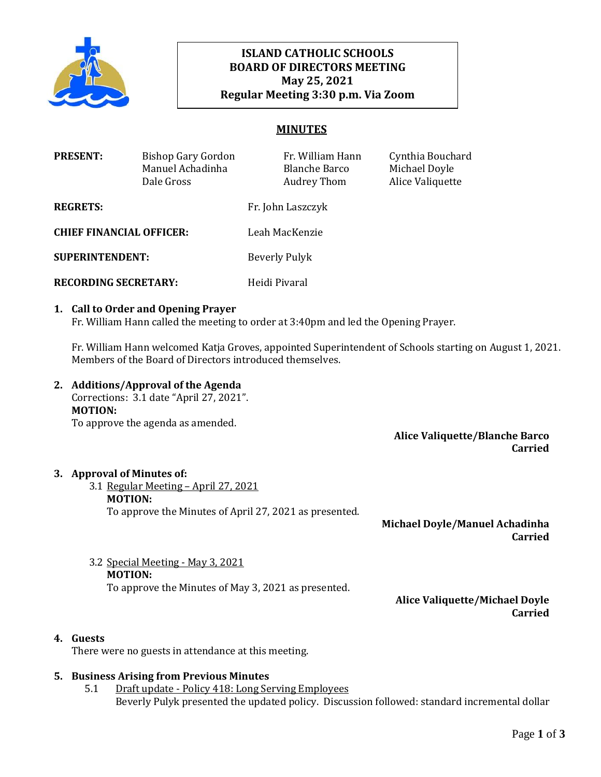

# **ISLAND CATHOLIC SCHOOLS BOARD OF DIRECTORS MEETING May 25, 2021 Regular Meeting 3:30 p.m. Via Zoom**

# **MINUTES**

| <b>PRESENT:</b>                 | <b>Bishop Gary Gordon</b><br>Manuel Achadinha<br>Dale Gross | Fr. William Hann<br><b>Blanche Barco</b><br>Audrey Thom | Cynthia Bouchard<br>Michael Doyle<br>Alice Valiquette |
|---------------------------------|-------------------------------------------------------------|---------------------------------------------------------|-------------------------------------------------------|
| <b>REGRETS:</b>                 |                                                             | Fr. John Laszczyk                                       |                                                       |
| <b>CHIEF FINANCIAL OFFICER:</b> |                                                             | Leah MacKenzie                                          |                                                       |
| <b>SUPERINTENDENT:</b>          |                                                             | Beverly Pulyk                                           |                                                       |
| <b>RECORDING SECRETARY:</b>     |                                                             | Heidi Pivaral                                           |                                                       |

#### **1. Call to Order and Opening Prayer**

Fr. William Hann called the meeting to order at 3:40pm and led the Opening Prayer.

Fr. William Hann welcomed Katja Groves, appointed Superintendent of Schools starting on August 1, 2021. Members of the Board of Directors introduced themselves.

**2. Additions/Approval of the Agenda** Corrections: 3.1 date "April 27, 2021". **MOTION:** To approve the agenda as amended.

> **Alice Valiquette/Blanche Barco Carried**

#### **3. Approval of Minutes of:**

3.1 Regular Meeting – April 27, 2021 **MOTION:** To approve the Minutes of April 27, 2021 as presented.

**Michael Doyle/Manuel Achadinha Carried**

3.2 Special Meeting - May 3, 2021 **MOTION:** To approve the Minutes of May 3, 2021 as presented.

> **Alice Valiquette/Michael Doyle Carried**

### **4. Guests**

There were no guests in attendance at this meeting.

#### **5. Business Arising from Previous Minutes**

5.1 Draft update - Policy 418: Long Serving Employees Beverly Pulyk presented the updated policy. Discussion followed: standard incremental dollar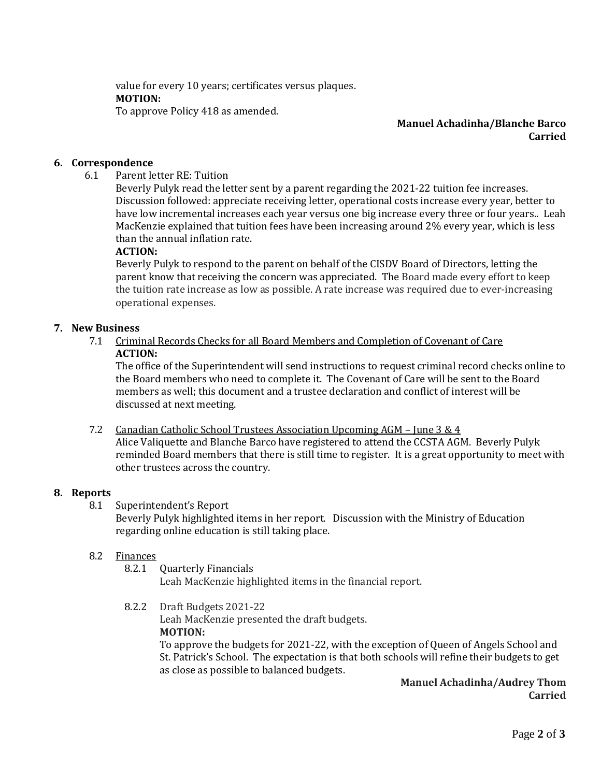value for every 10 years; certificates versus plaques. **MOTION:**  To approve Policy 418 as amended.

### **Manuel Achadinha/Blanche Barco Carried**

# **6. Correspondence**

# 6.1 Parent letter RE: Tuition

Beverly Pulyk read the letter sent by a parent regarding the 2021-22 tuition fee increases. Discussion followed: appreciate receiving letter, operational costs increase every year, better to have low incremental increases each year versus one big increase every three or four years.. Leah MacKenzie explained that tuition fees have been increasing around 2% every year, which is less than the annual inflation rate.

### **ACTION:**

Beverly Pulyk to respond to the parent on behalf of the CISDV Board of Directors, letting the parent know that receiving the concern was appreciated. The Board made every effort to keep the tuition rate increase as low as possible. A rate increase was required due to ever-increasing operational expenses.

# **7. New Business**

7.1 Criminal Records Checks for all Board Members and Completion of Covenant of Care **ACTION:**

The office of the Superintendent will send instructions to request criminal record checks online to the Board members who need to complete it. The Covenant of Care will be sent to the Board members as well; this document and a trustee declaration and conflict of interest will be discussed at next meeting.

7.2 Canadian Catholic School Trustees Association Upcoming AGM – June 3 & 4 Alice Valiquette and Blanche Barco have registered to attend the CCSTA AGM. Beverly Pulyk reminded Board members that there is still time to register. It is a great opportunity to meet with other trustees across the country.

#### **8. Reports**

8.1 Superintendent's Report

Beverly Pulyk highlighted items in her report. Discussion with the Ministry of Education regarding online education is still taking place.

# 8.2 Finances

8.2.1 Quarterly Financials

Leah MacKenzie highlighted items in the financial report.

8.2.2 Draft Budgets 2021-22

Leah MacKenzie presented the draft budgets. **MOTION:** 

To approve the budgets for 2021-22, with the exception of Queen of Angels School and St. Patrick's School. The expectation is that both schools will refine their budgets to get as close as possible to balanced budgets.

# **Manuel Achadinha/Audrey Thom Carried**